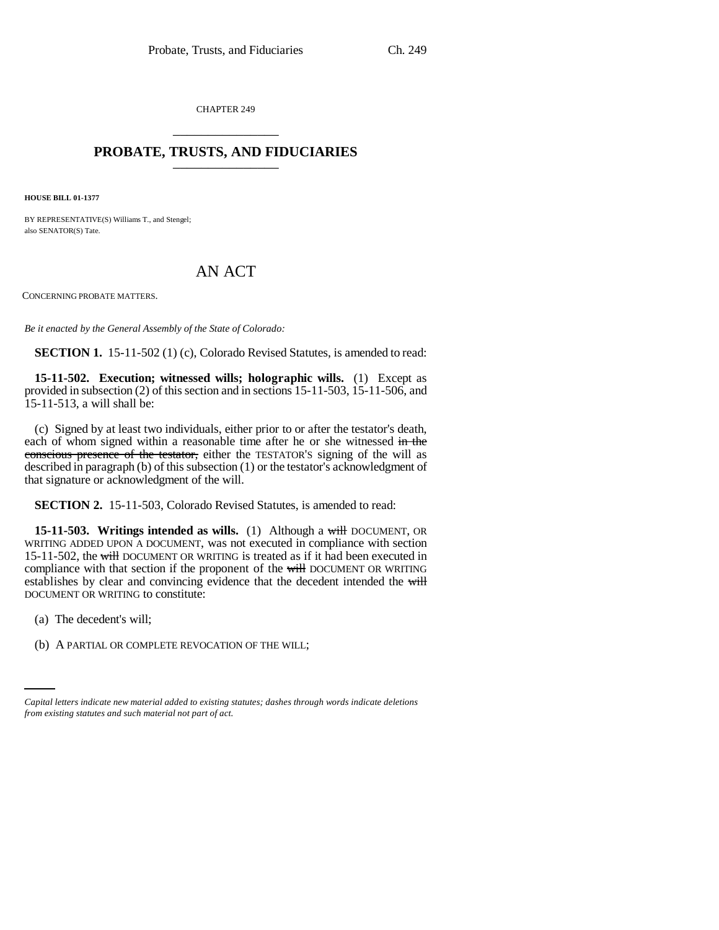CHAPTER 249 \_\_\_\_\_\_\_\_\_\_\_\_\_\_\_

## **PROBATE, TRUSTS, AND FIDUCIARIES** \_\_\_\_\_\_\_\_\_\_\_\_\_\_\_

**HOUSE BILL 01-1377**

BY REPRESENTATIVE(S) Williams T., and Stengel; also SENATOR(S) Tate.

## AN ACT

CONCERNING PROBATE MATTERS.

*Be it enacted by the General Assembly of the State of Colorado:*

**SECTION 1.** 15-11-502 (1) (c), Colorado Revised Statutes, is amended to read:

**15-11-502. Execution; witnessed wills; holographic wills.** (1) Except as provided in subsection (2) of this section and in sections 15-11-503, 15-11-506, and 15-11-513, a will shall be:

(c) Signed by at least two individuals, either prior to or after the testator's death, each of whom signed within a reasonable time after he or she witnessed in the conscious presence of the testator, either the TESTATOR'S signing of the will as described in paragraph (b) of this subsection (1) or the testator's acknowledgment of that signature or acknowledgment of the will.

**SECTION 2.** 15-11-503, Colorado Revised Statutes, is amended to read:

**15-11-503. Writings intended as wills.** (1) Although a will DOCUMENT, OR WRITING ADDED UPON A DOCUMENT, was not executed in compliance with section 15-11-502, the will DOCUMENT OR WRITING is treated as if it had been executed in compliance with that section if the proponent of the will DOCUMENT OR WRITING establishes by clear and convincing evidence that the decedent intended the will DOCUMENT OR WRITING to constitute:

(a) The decedent's will;

(b) A PARTIAL OR COMPLETE REVOCATION OF THE WILL;

*Capital letters indicate new material added to existing statutes; dashes through words indicate deletions from existing statutes and such material not part of act.*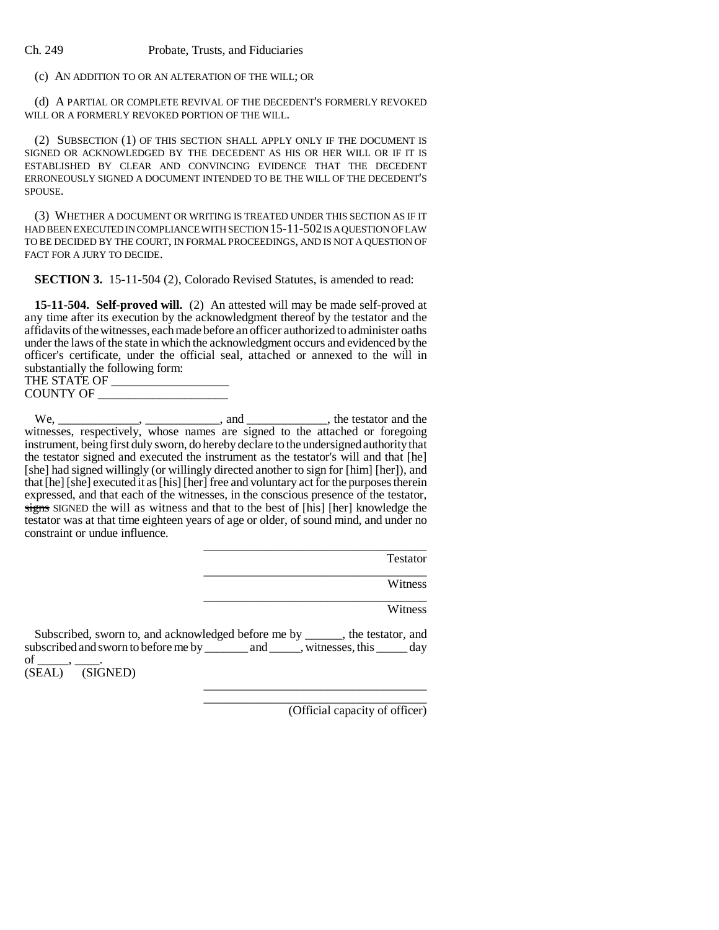## Ch. 249 Probate, Trusts, and Fiduciaries

(c) AN ADDITION TO OR AN ALTERATION OF THE WILL; OR

(d) A PARTIAL OR COMPLETE REVIVAL OF THE DECEDENT'S FORMERLY REVOKED WILL OR A FORMERLY REVOKED PORTION OF THE WILL.

(2) SUBSECTION (1) OF THIS SECTION SHALL APPLY ONLY IF THE DOCUMENT IS SIGNED OR ACKNOWLEDGED BY THE DECEDENT AS HIS OR HER WILL OR IF IT IS ESTABLISHED BY CLEAR AND CONVINCING EVIDENCE THAT THE DECEDENT ERRONEOUSLY SIGNED A DOCUMENT INTENDED TO BE THE WILL OF THE DECEDENT'S SPOUSE.

(3) WHETHER A DOCUMENT OR WRITING IS TREATED UNDER THIS SECTION AS IF IT HAD BEEN EXECUTED IN COMPLIANCE WITH SECTION 15-11-502 IS A QUESTION OF LAW TO BE DECIDED BY THE COURT, IN FORMAL PROCEEDINGS, AND IS NOT A QUESTION OF FACT FOR A JURY TO DECIDE.

**SECTION 3.** 15-11-504 (2), Colorado Revised Statutes, is amended to read:

**15-11-504. Self-proved will.** (2) An attested will may be made self-proved at any time after its execution by the acknowledgment thereof by the testator and the affidavits of the witnesses, each made before an officer authorized to administer oaths under the laws of the state in which the acknowledgment occurs and evidenced by the officer's certificate, under the official seal, attached or annexed to the will in substantially the following form:

| THE STATE OF     |  |
|------------------|--|
| <b>COUNTY OF</b> |  |
|                  |  |

 $We, \underline{\hspace{1cm}} \underline{\hspace{1cm}}$ ,  $\underline{\hspace{1cm}}$ ,  $\underline{\hspace{1cm}}$ , and  $\underline{\hspace{1cm}}$ , the testator and the witnesses, respectively, whose names are signed to the attached or foregoing instrument, being first duly sworn, do hereby declare to the undersigned authority that the testator signed and executed the instrument as the testator's will and that [he] [she] had signed willingly (or willingly directed another to sign for [him] [her]), and that [he] [she] executed it as [his] [her] free and voluntary act for the purposes therein expressed, and that each of the witnesses, in the conscious presence of the testator, signs SIGNED the will as witness and that to the best of [his] [her] knowledge the testator was at that time eighteen years of age or older, of sound mind, and under no constraint or undue influence.

| Testator |
|----------|
| Witness  |
|          |

\_\_\_\_\_\_\_\_\_\_\_\_\_\_\_\_\_\_\_\_\_\_\_\_\_\_\_\_\_\_\_\_\_\_\_\_ \_\_\_\_\_\_\_\_\_\_\_\_\_\_\_\_\_\_\_\_\_\_\_\_\_\_\_\_\_\_\_\_\_\_\_\_

Witness

Subscribed, sworn to, and acknowledged before me by \_\_\_\_\_\_, the testator, and subscribed and sworn to before me by \_\_\_\_\_\_\_ and \_\_\_\_\_, witnesses, this \_\_\_\_\_ day

of<br>(SEAL)  $(SIGNED)$ 

(Official capacity of officer)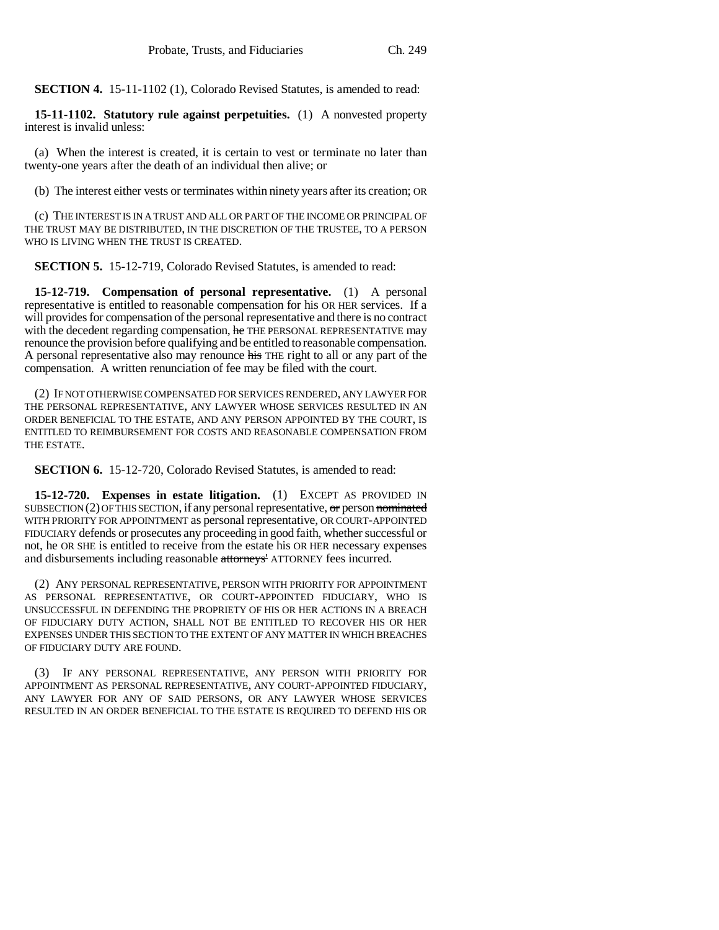**SECTION 4.** 15-11-1102 (1), Colorado Revised Statutes, is amended to read:

**15-11-1102. Statutory rule against perpetuities.** (1) A nonvested property interest is invalid unless:

(a) When the interest is created, it is certain to vest or terminate no later than twenty-one years after the death of an individual then alive; or

(b) The interest either vests or terminates within ninety years after its creation; OR

(c) THE INTEREST IS IN A TRUST AND ALL OR PART OF THE INCOME OR PRINCIPAL OF THE TRUST MAY BE DISTRIBUTED, IN THE DISCRETION OF THE TRUSTEE, TO A PERSON WHO IS LIVING WHEN THE TRUST IS CREATED.

**SECTION 5.** 15-12-719, Colorado Revised Statutes, is amended to read:

**15-12-719. Compensation of personal representative.** (1) A personal representative is entitled to reasonable compensation for his OR HER services. If a will provides for compensation of the personal representative and there is no contract with the decedent regarding compensation, he THE PERSONAL REPRESENTATIVE may renounce the provision before qualifying and be entitled to reasonable compensation. A personal representative also may renounce his THE right to all or any part of the compensation. A written renunciation of fee may be filed with the court.

(2) IF NOT OTHERWISE COMPENSATED FOR SERVICES RENDERED, ANY LAWYER FOR THE PERSONAL REPRESENTATIVE, ANY LAWYER WHOSE SERVICES RESULTED IN AN ORDER BENEFICIAL TO THE ESTATE, AND ANY PERSON APPOINTED BY THE COURT, IS ENTITLED TO REIMBURSEMENT FOR COSTS AND REASONABLE COMPENSATION FROM THE ESTATE.

**SECTION 6.** 15-12-720, Colorado Revised Statutes, is amended to read:

**15-12-720. Expenses in estate litigation.** (1) EXCEPT AS PROVIDED IN SUBSECTION  $(2)$  OF THIS SECTION, if any personal representative,  $\sigma$  person nominated WITH PRIORITY FOR APPOINTMENT as personal representative, OR COURT-APPOINTED FIDUCIARY defends or prosecutes any proceeding in good faith, whether successful or not, he OR SHE is entitled to receive from the estate his OR HER necessary expenses and disbursements including reasonable attorneys' ATTORNEY fees incurred.

(2) ANY PERSONAL REPRESENTATIVE, PERSON WITH PRIORITY FOR APPOINTMENT AS PERSONAL REPRESENTATIVE, OR COURT-APPOINTED FIDUCIARY, WHO IS UNSUCCESSFUL IN DEFENDING THE PROPRIETY OF HIS OR HER ACTIONS IN A BREACH OF FIDUCIARY DUTY ACTION, SHALL NOT BE ENTITLED TO RECOVER HIS OR HER EXPENSES UNDER THIS SECTION TO THE EXTENT OF ANY MATTER IN WHICH BREACHES OF FIDUCIARY DUTY ARE FOUND.

(3) IF ANY PERSONAL REPRESENTATIVE, ANY PERSON WITH PRIORITY FOR APPOINTMENT AS PERSONAL REPRESENTATIVE, ANY COURT-APPOINTED FIDUCIARY, ANY LAWYER FOR ANY OF SAID PERSONS, OR ANY LAWYER WHOSE SERVICES RESULTED IN AN ORDER BENEFICIAL TO THE ESTATE IS REQUIRED TO DEFEND HIS OR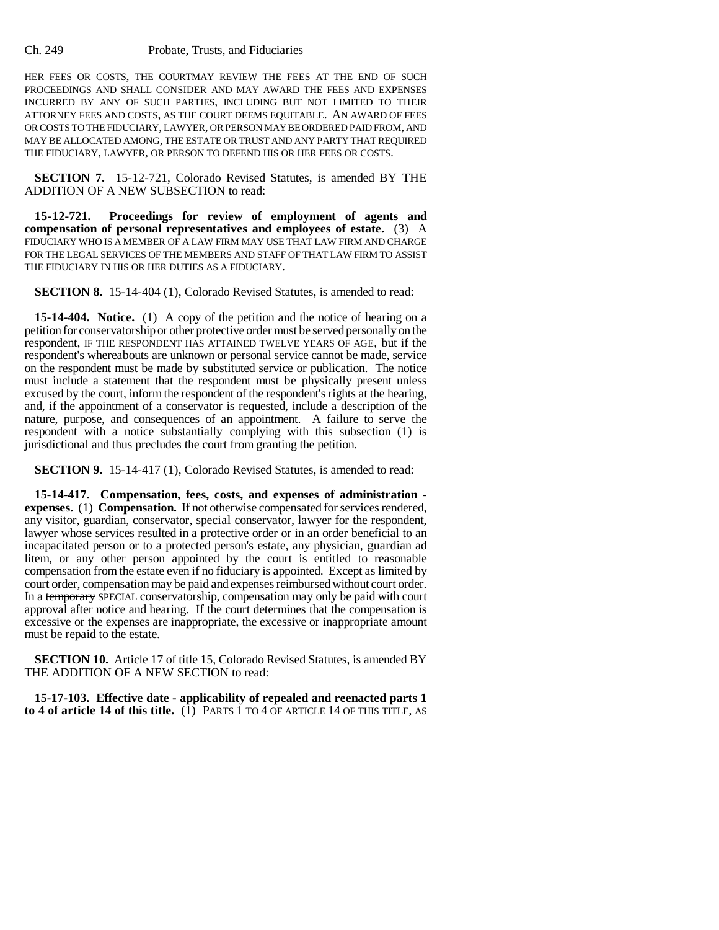## Ch. 249 Probate, Trusts, and Fiduciaries

HER FEES OR COSTS, THE COURTMAY REVIEW THE FEES AT THE END OF SUCH PROCEEDINGS AND SHALL CONSIDER AND MAY AWARD THE FEES AND EXPENSES INCURRED BY ANY OF SUCH PARTIES, INCLUDING BUT NOT LIMITED TO THEIR ATTORNEY FEES AND COSTS, AS THE COURT DEEMS EQUITABLE. AN AWARD OF FEES OR COSTS TO THE FIDUCIARY, LAWYER, OR PERSON MAY BE ORDERED PAID FROM, AND MAY BE ALLOCATED AMONG, THE ESTATE OR TRUST AND ANY PARTY THAT REQUIRED THE FIDUCIARY, LAWYER, OR PERSON TO DEFEND HIS OR HER FEES OR COSTS.

**SECTION 7.** 15-12-721, Colorado Revised Statutes, is amended BY THE ADDITION OF A NEW SUBSECTION to read:

**15-12-721. Proceedings for review of employment of agents and compensation of personal representatives and employees of estate.** (3) A FIDUCIARY WHO IS A MEMBER OF A LAW FIRM MAY USE THAT LAW FIRM AND CHARGE FOR THE LEGAL SERVICES OF THE MEMBERS AND STAFF OF THAT LAW FIRM TO ASSIST THE FIDUCIARY IN HIS OR HER DUTIES AS A FIDUCIARY.

**SECTION 8.** 15-14-404 (1), Colorado Revised Statutes, is amended to read:

**15-14-404. Notice.** (1) A copy of the petition and the notice of hearing on a petition for conservatorship or other protective order must be served personally on the respondent, IF THE RESPONDENT HAS ATTAINED TWELVE YEARS OF AGE, but if the respondent's whereabouts are unknown or personal service cannot be made, service on the respondent must be made by substituted service or publication. The notice must include a statement that the respondent must be physically present unless excused by the court, inform the respondent of the respondent's rights at the hearing, and, if the appointment of a conservator is requested, include a description of the nature, purpose, and consequences of an appointment. A failure to serve the respondent with a notice substantially complying with this subsection (1) is jurisdictional and thus precludes the court from granting the petition.

**SECTION 9.** 15-14-417 (1), Colorado Revised Statutes, is amended to read:

**15-14-417. Compensation, fees, costs, and expenses of administration expenses.** (1) **Compensation.** If not otherwise compensated for services rendered, any visitor, guardian, conservator, special conservator, lawyer for the respondent, lawyer whose services resulted in a protective order or in an order beneficial to an incapacitated person or to a protected person's estate, any physician, guardian ad litem, or any other person appointed by the court is entitled to reasonable compensation from the estate even if no fiduciary is appointed. Except as limited by court order, compensation may be paid and expenses reimbursed without court order. In a temporary SPECIAL conservatorship, compensation may only be paid with court approval after notice and hearing. If the court determines that the compensation is excessive or the expenses are inappropriate, the excessive or inappropriate amount must be repaid to the estate.

**SECTION 10.** Article 17 of title 15, Colorado Revised Statutes, is amended BY THE ADDITION OF A NEW SECTION to read:

**15-17-103. Effective date - applicability of repealed and reenacted parts 1** to 4 of article 14 of this title.  $(1)$  PARTS 1 TO 4 OF ARTICLE 14 OF THIS TITLE, AS